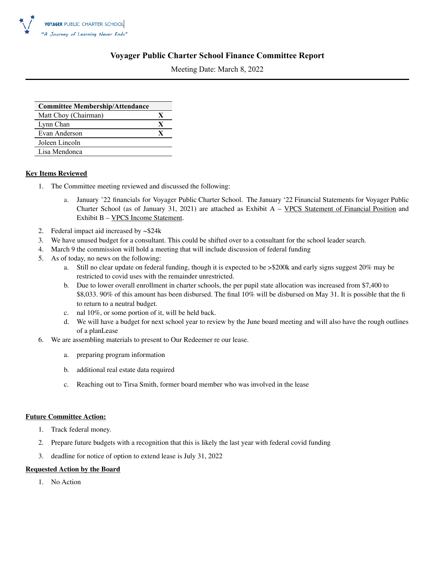

#### **Voyager Public Charter School Finance Committee Report**

Meeting Date: March 8, 2022

| <b>Committee Membership/Attendance</b> |   |
|----------------------------------------|---|
| Matt Choy (Chairman)                   | X |
| Lynn Chan                              | X |
| Evan Anderson                          | X |
| Joleen Lincoln                         |   |
| Lisa Mendonca                          |   |

#### **Key Items Reviewed**

- 1. The Committee meeting reviewed and discussed the following:
	- a. January '22 financials for Voyager Public Charter School. The January '22 Financial Statements for Voyager Public Charter School (as of January 31, 2021) are attached as Exhibit A – VPCS Statement of Financial Position and Exhibit B – VPCS Income Statement.
- 2. Federal impact aid increased by ~\$24k
- 3. We have unused budget for a consultant. This could be shifted over to a consultant for the school leader search.
- 4. March 9 the commission will hold a meeting that will include discussion of federal funding
- 5. As of today, no news on the following:
	- a. Still no clear update on federal funding, though it is expected to be >\$200k and early signs suggest 20% may be restricted to covid uses with the remainder unrestricted.
	- b. Due to lower overall enrollment in charter schools, the per pupil state allocation was increased from \$7,400 to \$8,033. 90% of this amount has been disbursed. The final 10% will be disbursed on May 31. It is possible that the fi to return to a neutral budget.
	- c. nal 10%, or some portion of it, will be held back.
	- d. We will have a budget for next school year to review by the June board meeting and will also have the rough outlines of a planLease
- 6. We are assembling materials to present to Our Redeemer re our lease.
	- a. preparing program information
	- b. additional real estate data required
	- c. Reaching out to Tirsa Smith, former board member who was involved in the lease

#### **Future Committee Action:**

- 1. Track federal money.
- 2. Prepare future budgets with a recognition that this is likely the last year with federal covid funding
- 3. deadline for notice of option to extend lease is July 31, 2022

#### **Requested Action by the Board**

1. No Action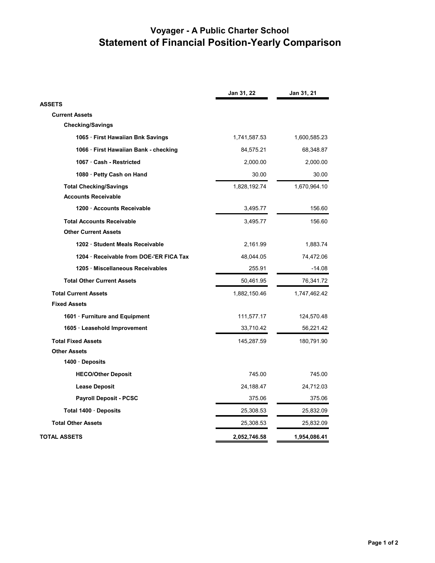# **Voyager - A Public Charter School Statement of Financial Position-Yearly Comparison**

|                                       | Jan 31, 22   | Jan 31, 21   |
|---------------------------------------|--------------|--------------|
| <b>ASSETS</b>                         |              |              |
| <b>Current Assets</b>                 |              |              |
| <b>Checking/Savings</b>               |              |              |
| 1065 · First Hawaiian Bnk Savings     | 1,741,587.53 | 1,600,585.23 |
| 1066 · First Hawaiian Bank - checking | 84,575.21    | 68,348.87    |
| 1067 · Cash - Restricted              | 2,000.00     | 2,000.00     |
| 1080 · Petty Cash on Hand             | 30.00        | 30.00        |
| <b>Total Checking/Savings</b>         | 1,828,192.74 | 1,670,964.10 |
| <b>Accounts Receivable</b>            |              |              |
| 1200 Accounts Receivable              | 3,495.77     | 156.60       |
| <b>Total Accounts Receivable</b>      | 3,495.77     | 156.60       |
| <b>Other Current Assets</b>           |              |              |
| 1202 · Student Meals Receivable       | 2,161.99     | 1,883.74     |
| 1204 Receivable from DOE-'ER FICA Tax | 48,044.05    | 74,472.06    |
| 1205 · Miscellaneous Receivables      | 255.91       | $-14.08$     |
| <b>Total Other Current Assets</b>     | 50,461.95    | 76,341.72    |
| <b>Total Current Assets</b>           | 1,882,150.46 | 1,747,462.42 |
| <b>Fixed Assets</b>                   |              |              |
| 1601 · Furniture and Equipment        | 111,577.17   | 124,570.48   |
| 1605 · Leasehold Improvement          | 33,710.42    | 56,221.42    |
| <b>Total Fixed Assets</b>             | 145,287.59   | 180,791.90   |
| <b>Other Assets</b>                   |              |              |
| 1400 Deposits                         |              |              |
| <b>HECO/Other Deposit</b>             | 745.00       | 745.00       |
| <b>Lease Deposit</b>                  | 24,188.47    | 24,712.03    |
| <b>Payroll Deposit - PCSC</b>         | 375.06       | 375.06       |
| Total 1400 Deposits                   | 25,308.53    | 25,832.09    |
| <b>Total Other Assets</b>             | 25,308.53    | 25,832.09    |
| TOTAL ASSETS                          | 2,052,746.58 | 1,954,086.41 |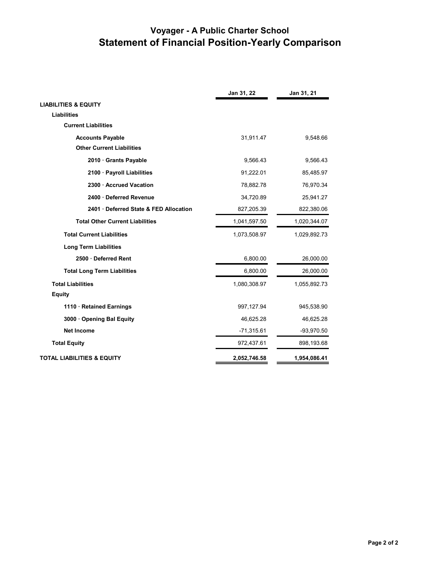# **Voyager - A Public Charter School Statement of Financial Position-Yearly Comparison**

|                                        | Jan 31, 22   | Jan 31, 21   |
|----------------------------------------|--------------|--------------|
| <b>LIABILITIES &amp; EQUITY</b>        |              |              |
| <b>Liabilities</b>                     |              |              |
| <b>Current Liabilities</b>             |              |              |
| <b>Accounts Payable</b>                | 31,911.47    | 9,548.66     |
| <b>Other Current Liabilities</b>       |              |              |
| 2010 Grants Payable                    | 9,566.43     | 9,566.43     |
| 2100 · Payroll Liabilities             | 91,222.01    | 85,485.97    |
| 2300 Accrued Vacation                  | 78,882.78    | 76,970.34    |
| 2400 Deferred Revenue                  | 34,720.89    | 25,941.27    |
| 2401 · Deferred State & FED Allocation | 827,205.39   | 822,380.06   |
| <b>Total Other Current Liabilities</b> | 1,041,597.50 | 1,020,344.07 |
| <b>Total Current Liabilities</b>       | 1,073,508.97 | 1,029,892.73 |
| <b>Long Term Liabilities</b>           |              |              |
| 2500 Deferred Rent                     | 6,800.00     | 26,000.00    |
| <b>Total Long Term Liabilities</b>     | 6,800.00     | 26,000.00    |
| <b>Total Liabilities</b>               | 1,080,308.97 | 1,055,892.73 |
| <b>Equity</b>                          |              |              |
| 1110 · Retained Earnings               | 997, 127.94  | 945,538.90   |
| 3000 Opening Bal Equity                | 46,625.28    | 46,625.28    |
| <b>Net Income</b>                      | $-71,315.61$ | $-93,970.50$ |
| <b>Total Equity</b>                    | 972,437.61   | 898,193.68   |
| <b>TOTAL LIABILITIES &amp; EQUITY</b>  | 2,052,746.58 | 1,954,086.41 |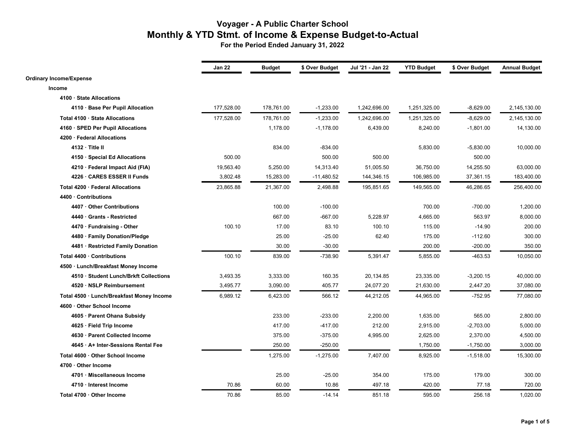|                                           | Jan 22     | <b>Budget</b> | \$ Over Budget | Jul '21 - Jan 22 | <b>YTD Budget</b> | \$ Over Budget | <b>Annual Budget</b> |
|-------------------------------------------|------------|---------------|----------------|------------------|-------------------|----------------|----------------------|
| <b>Ordinary Income/Expense</b>            |            |               |                |                  |                   |                |                      |
| Income                                    |            |               |                |                  |                   |                |                      |
| 4100 · State Allocations                  |            |               |                |                  |                   |                |                      |
| 4110 · Base Per Pupil Allocation          | 177,528.00 | 178,761.00    | $-1,233.00$    | 1,242,696.00     | 1,251,325.00      | $-8,629.00$    | 2,145,130.00         |
| Total 4100 · State Allocations            | 177,528.00 | 178,761.00    | $-1,233.00$    | 1,242,696.00     | 1,251,325.00      | $-8,629.00$    | 2,145,130.00         |
| 4160 · SPED Per Pupil Allocations         |            | 1,178.00      | $-1,178.00$    | 6,439.00         | 8,240.00          | $-1,801.00$    | 14,130.00            |
| 4200 · Federal Allocations                |            |               |                |                  |                   |                |                      |
| $4132 \cdot$ Title II                     |            | 834.00        | $-834.00$      |                  | 5,830.00          | $-5,830.00$    | 10,000.00            |
| 4150 · Special Ed Allocations             | 500.00     |               | 500.00         | 500.00           |                   | 500.00         |                      |
| 4210 · Federal Impact Aid (FIA)           | 19,563.40  | 5,250.00      | 14,313.40      | 51,005.50        | 36,750.00         | 14,255.50      | 63,000.00            |
| 4226 · CARES ESSER II Funds               | 3,802.48   | 15,283.00     | $-11,480.52$   | 144,346.15       | 106,985.00        | 37,361.15      | 183,400.00           |
| Total 4200 · Federal Allocations          | 23,865.88  | 21,367.00     | 2,498.88       | 195,851.65       | 149,565.00        | 46,286.65      | 256,400.00           |
| 4400 · Contributions                      |            |               |                |                  |                   |                |                      |
| 4407 · Other Contributions                |            | 100.00        | $-100.00$      |                  | 700.00            | $-700.00$      | 1,200.00             |
| 4440 Grants - Restricted                  |            | 667.00        | $-667.00$      | 5,228.97         | 4,665.00          | 563.97         | 8,000.00             |
| 4470 · Fundraising - Other                | 100.10     | 17.00         | 83.10          | 100.10           | 115.00            | $-14.90$       | 200.00               |
| 4480 · Family Donation/Pledge             |            | 25.00         | $-25.00$       | 62.40            | 175.00            | $-112.60$      | 300.00               |
| 4481 · Restricted Family Donation         |            | 30.00         | $-30.00$       |                  | 200.00            | $-200.00$      | 350.00               |
| Total 4400 · Contributions                | 100.10     | 839.00        | -738.90        | 5,391.47         | 5,855.00          | $-463.53$      | 10,050.00            |
| 4500 · Lunch/Breakfast Money Income       |            |               |                |                  |                   |                |                      |
| 4510 · Student Lunch/Brkft Collections    | 3,493.35   | 3,333.00      | 160.35         | 20,134.85        | 23,335.00         | $-3,200.15$    | 40,000.00            |
| 4520 · NSLP Reimbursement                 | 3,495.77   | 3,090.00      | 405.77         | 24,077.20        | 21,630.00         | 2,447.20       | 37,080.00            |
| Total 4500 · Lunch/Breakfast Money Income | 6,989.12   | 6,423.00      | 566.12         | 44,212.05        | 44,965.00         | $-752.95$      | 77,080.00            |
| 4600 · Other School Income                |            |               |                |                  |                   |                |                      |
| 4605 · Parent Ohana Subsidy               |            | 233.00        | $-233.00$      | 2,200.00         | 1,635.00          | 565.00         | 2,800.00             |
| 4625 · Field Trip Income                  |            | 417.00        | $-417.00$      | 212.00           | 2,915.00          | $-2,703.00$    | 5,000.00             |
| 4630 · Parent Collected Income            |            | 375.00        | $-375.00$      | 4,995.00         | 2,625.00          | 2,370.00       | 4,500.00             |
| 4645 · A+ Inter-Sessions Rental Fee       |            | 250.00        | $-250.00$      |                  | 1,750.00          | $-1,750.00$    | 3,000.00             |
| Total 4600 · Other School Income          |            | 1,275.00      | $-1,275.00$    | 7,407.00         | 8,925.00          | $-1,518.00$    | 15,300.00            |
| 4700 · Other Income                       |            |               |                |                  |                   |                |                      |
| 4701 · Miscellaneous Income               |            | 25.00         | $-25.00$       | 354.00           | 175.00            | 179.00         | 300.00               |
| 4710 · Interest Income                    | 70.86      | 60.00         | 10.86          | 497.18           | 420.00            | 77.18          | 720.00               |
| Total 4700 · Other Income                 | 70.86      | 85.00         | $-14.14$       | 851.18           | 595.00            | 256.18         | 1,020.00             |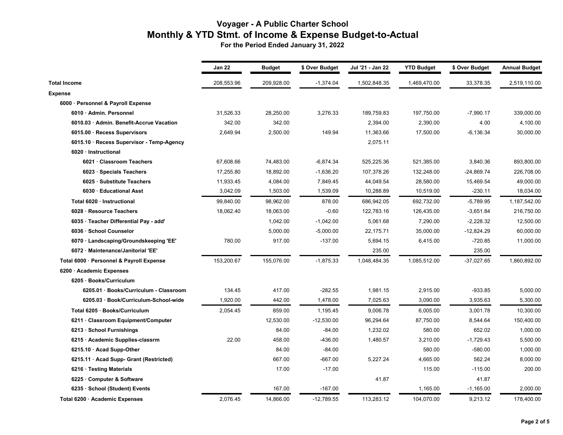|                                           | Jan 22     | <b>Budget</b> | \$ Over Budget | Jul '21 - Jan 22 | <b>YTD Budget</b> | \$ Over Budget | <b>Annual Budget</b> |
|-------------------------------------------|------------|---------------|----------------|------------------|-------------------|----------------|----------------------|
| <b>Total Income</b>                       | 208,553.96 | 209,928.00    | $-1,374.04$    | 1,502,848.35     | 1,469,470.00      | 33,378.35      | 2,519,110.00         |
| <b>Expense</b>                            |            |               |                |                  |                   |                |                      |
| 6000 · Personnel & Payroll Expense        |            |               |                |                  |                   |                |                      |
| 6010 · Admin. Personnel                   | 31,526.33  | 28,250.00     | 3,276.33       | 189,759.83       | 197,750.00        | $-7,990.17$    | 339,000.00           |
| 6010.03 · Admin. Benefit-Accrue Vacation  | 342.00     | 342.00        |                | 2,394.00         | 2,390.00          | 4.00           | 4,100.00             |
| 6015.00 · Recess Supervisors              | 2,649.94   | 2,500.00      | 149.94         | 11,363.66        | 17,500.00         | $-6,136.34$    | 30,000.00            |
| 6015.10 · Recess Supervisor - Temp-Agency |            |               |                | 2,075.11         |                   |                |                      |
| 6020 · Instructional                      |            |               |                |                  |                   |                |                      |
| 6021 · Classroom Teachers                 | 67,608.66  | 74,483.00     | $-6,874.34$    | 525,225.36       | 521,385.00        | 3,840.36       | 893,800.00           |
| 6023 · Specials Teachers                  | 17,255.80  | 18,892.00     | $-1,636.20$    | 107,378.26       | 132,248.00        | $-24,869.74$   | 226,708.00           |
| 6025 · Substitute Teachers                | 11,933.45  | 4,084.00      | 7,849.45       | 44,049.54        | 28,580.00         | 15,469.54      | 49,000.00            |
| 6030 · Educational Asst                   | 3,042.09   | 1,503.00      | 1,539.09       | 10,288.89        | 10,519.00         | $-230.11$      | 18,034.00            |
| Total 6020 · Instructional                | 99,840.00  | 98,962.00     | 878.00         | 686,942.05       | 692,732.00        | $-5,789.95$    | 1,187,542.00         |
| 6028 · Resource Teachers                  | 18,062.40  | 18,063.00     | $-0.60$        | 122,783.16       | 126,435.00        | $-3,651.84$    | 216,750.00           |
| 6035 · Teacher Differential Pay - add'    |            | 1,042.00      | $-1,042.00$    | 5,061.68         | 7,290.00          | $-2,228.32$    | 12,500.00            |
| 6036 · School Counselor                   |            | 5,000.00      | $-5,000.00$    | 22,175.71        | 35,000.00         | $-12,824.29$   | 60,000.00            |
| 6070 · Landscaping/Groundskeeping 'EE'    | 780.00     | 917.00        | $-137.00$      | 5,694.15         | 6,415.00          | -720.85        | 11,000.00            |
| 6072 · Maintenance/Janitorial 'EE'        |            |               |                | 235.00           |                   | 235.00         |                      |
| Total 6000 · Personnel & Payroll Expense  | 153,200.67 | 155,076.00    | $-1,875.33$    | 1,048,484.35     | 1,085,512.00      | $-37,027.65$   | 1,860,892.00         |
| 6200 · Academic Expenses                  |            |               |                |                  |                   |                |                      |
| 6205 · Books/Curriculum                   |            |               |                |                  |                   |                |                      |
| 6205.01 · Books/Curriculum - Classroom    | 134.45     | 417.00        | $-282.55$      | 1,981.15         | 2,915.00          | $-933.85$      | 5,000.00             |
| 6205.03 · Book/Curriculum-School-wide     | 1,920.00   | 442.00        | 1,478.00       | 7,025.63         | 3,090.00          | 3,935.63       | 5,300.00             |
| Total 6205 · Books/Curriculum             | 2,054.45   | 859.00        | 1,195.45       | 9,006.78         | 6,005.00          | 3,001.78       | 10,300.00            |
| 6211 · Classroom Equipment/Computer       |            | 12,530.00     | $-12,530.00$   | 96,294.64        | 87,750.00         | 8,544.64       | 150,400.00           |
| 6213 · School Furnishings                 |            | 84.00         | $-84.00$       | 1,232.02         | 580.00            | 652.02         | 1,000.00             |
| 6215 · Academic Supplies-classrm          | 22.00      | 458.00        | $-436.00$      | 1,480.57         | 3,210.00          | $-1,729.43$    | 5,500.00             |
| 6215.10 · Acad Supp-Other                 |            | 84.00         | $-84.00$       |                  | 580.00            | $-580.00$      | 1,000.00             |
| 6215.11 · Acad Supp- Grant (Restricted)   |            | 667.00        | $-667.00$      | 5,227.24         | 4,665.00          | 562.24         | 8,000.00             |
| 6216 · Testing Materials                  |            | 17.00         | $-17.00$       |                  | 115.00            | $-115.00$      | 200.00               |
| 6225 · Computer & Software                |            |               |                | 41.87            |                   | 41.87          |                      |
| 6235 · School (Student) Events            |            | 167.00        | $-167.00$      |                  | 1,165.00          | -1,165.00      | 2,000.00             |
| Total 6200 · Academic Expenses            | 2,076.45   | 14,866.00     | $-12,789.55$   | 113,283.12       | 104,070.00        | 9,213.12       | 178,400.00           |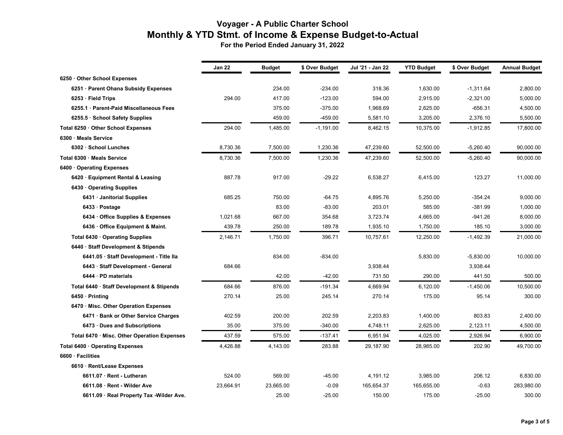|                                             | Jan 22    | Budget    | \$ Over Budget | Jul '21 - Jan 22 | <b>YTD Budget</b> | \$ Over Budget | <b>Annual Budget</b> |
|---------------------------------------------|-----------|-----------|----------------|------------------|-------------------|----------------|----------------------|
| 6250 Other School Expenses                  |           |           |                |                  |                   |                |                      |
| 6251 · Parent Ohana Subsidy Expenses        |           | 234.00    | $-234.00$      | 318.36           | 1,630.00          | $-1,311.64$    | 2,800.00             |
| $6253 \cdot$ Field Trips                    | 294.00    | 417.00    | $-123.00$      | 594.00           | 2,915.00          | $-2,321.00$    | 5,000.00             |
| 6255.1 · Parent-Paid Miscellaneous Fees     |           | 375.00    | $-375.00$      | 1,968.69         | 2,625.00          | $-656.31$      | 4,500.00             |
| 6255.5 · School Safety Supplies             |           | 459.00    | $-459.00$      | 5,581.10         | 3,205.00          | 2,376.10       | 5,500.00             |
| Total 6250 · Other School Expenses          | 294.00    | 1,485.00  | $-1,191.00$    | 8,462.15         | 10,375.00         | $-1,912.85$    | 17,800.00            |
| 6300 · Meals Service                        |           |           |                |                  |                   |                |                      |
| 6302 · School Lunches                       | 8,730.36  | 7,500.00  | 1,230.36       | 47,239.60        | 52,500.00         | $-5,260.40$    | 90,000.00            |
| Total 6300 · Meals Service                  | 8,730.36  | 7,500.00  | 1,230.36       | 47,239.60        | 52,500.00         | $-5,260.40$    | 90,000.00            |
| 6400 Operating Expenses                     |           |           |                |                  |                   |                |                      |
| 6420 · Equipment Rental & Leasing           | 887.78    | 917.00    | $-29.22$       | 6,538.27         | 6,415.00          | 123.27         | 11,000.00            |
| 6430 · Operating Supplies                   |           |           |                |                  |                   |                |                      |
| 6431 · Janitorial Supplies                  | 685.25    | 750.00    | $-64.75$       | 4,895.76         | 5,250.00          | $-354.24$      | 9,000.00             |
| 6433 · Postage                              |           | 83.00     | $-83.00$       | 203.01           | 585.00            | $-381.99$      | 1,000.00             |
| 6434 · Office Supplies & Expenses           | 1,021.68  | 667.00    | 354.68         | 3,723.74         | 4,665.00          | $-941.26$      | 8,000.00             |
| 6436 · Office Equipment & Maint.            | 439.78    | 250.00    | 189.78         | 1,935.10         | 1,750.00          | 185.10         | 3,000.00             |
| Total 6430 · Operating Supplies             | 2,146.71  | 1,750.00  | 396.71         | 10,757.61        | 12,250.00         | $-1,492.39$    | 21,000.00            |
| 6440 · Staff Development & Stipends         |           |           |                |                  |                   |                |                      |
| 6441.05 · Staff Development - Title Ila     |           | 834.00    | $-834.00$      |                  | 5,830.00          | $-5,830.00$    | 10,000.00            |
| 6443 · Staff Development - General          | 684.66    |           |                | 3,938.44         |                   | 3,938.44       |                      |
| 6444 · PD materials                         |           | 42.00     | $-42.00$       | 731.50           | 290.00            | 441.50         | 500.00               |
| Total 6440 · Staff Development & Stipends   | 684.66    | 876.00    | $-191.34$      | 4,669.94         | 6,120.00          | $-1,450.06$    | 10,500.00            |
| $6450 \cdot \text{Printing}$                | 270.14    | 25.00     | 245.14         | 270.14           | 175.00            | 95.14          | 300.00               |
| 6470 · Misc. Other Operation Expenses       |           |           |                |                  |                   |                |                      |
| 6471 · Bank or Other Service Charges        | 402.59    | 200.00    | 202.59         | 2,203.83         | 1,400.00          | 803.83         | 2,400.00             |
| 6473 · Dues and Subscriptions               | 35.00     | 375.00    | $-340.00$      | 4,748.11         | 2,625.00          | 2,123.11       | 4,500.00             |
| Total 6470 · Misc. Other Operation Expenses | 437.59    | 575.00    | $-137.41$      | 6,951.94         | 4,025.00          | 2,926.94       | 6,900.00             |
| Total 6400 · Operating Expenses             | 4,426.88  | 4,143.00  | 283.88         | 29,187.90        | 28,985.00         | 202.90         | 49,700.00            |
| 6600 · Facilities                           |           |           |                |                  |                   |                |                      |
| 6610 · Rent/Lease Expenses                  |           |           |                |                  |                   |                |                      |
| 6611.07 · Rent - Lutheran                   | 524.00    | 569.00    | $-45.00$       | 4,191.12         | 3,985.00          | 206.12         | 6,830.00             |
| 6611.08 · Rent - Wilder Ave                 | 23,664.91 | 23,665.00 | $-0.09$        | 165,654.37       | 165,655.00        | $-0.63$        | 283,980.00           |
| 6611.09 · Real Property Tax - Wilder Ave.   |           | 25.00     | $-25.00$       | 150.00           | 175.00            | $-25.00$       | 300.00               |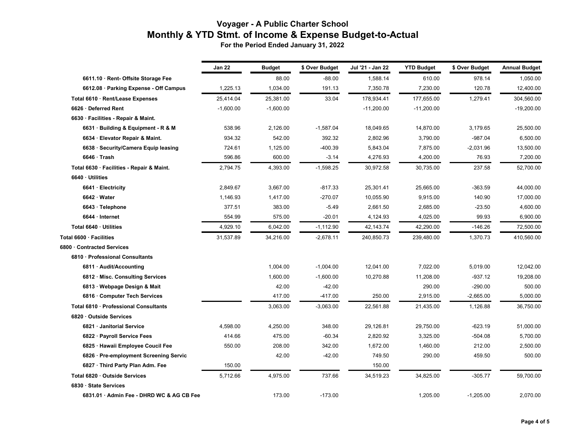|                                           | <b>Jan 22</b> | <b>Budget</b> | \$ Over Budget | Jul '21 - Jan 22 | <b>YTD Budget</b> | \$ Over Budget | <b>Annual Budget</b> |
|-------------------------------------------|---------------|---------------|----------------|------------------|-------------------|----------------|----------------------|
|                                           |               |               |                |                  |                   |                |                      |
| 6611.10 · Rent- Offsite Storage Fee       |               | 88.00         | $-88.00$       | 1,588.14         | 610.00            | 978.14         | 1,050.00             |
| 6612.08 · Parking Expense - Off Campus    | 1,225.13      | 1,034.00      | 191.13         | 7,350.78         | 7,230.00          | 120.78         | 12,400.00            |
| Total 6610 · Rent/Lease Expenses          | 25,414.04     | 25,381.00     | 33.04          | 178,934.41       | 177,655.00        | 1,279.41       | 304,560.00           |
| 6626 · Deferred Rent                      | $-1,600.00$   | $-1,600.00$   |                | $-11,200.00$     | $-11,200.00$      |                | $-19,200.00$         |
| 6630 · Facilities - Repair & Maint.       |               |               |                |                  |                   |                |                      |
| 6631 · Building & Equipment - R & M       | 538.96        | 2,126.00      | $-1,587.04$    | 18,049.65        | 14,870.00         | 3,179.65       | 25,500.00            |
| 6634 · Elevator Repair & Maint.           | 934.32        | 542.00        | 392.32         | 2,802.96         | 3,790.00          | $-987.04$      | 6,500.00             |
| 6638 · Security/Camera Equip leasing      | 724.61        | 1,125.00      | 400.39         | 5,843.04         | 7,875.00          | $-2,031.96$    | 13,500.00            |
| $6646 \cdot$ Trash                        | 596.86        | 600.00        | $-3.14$        | 4,276.93         | 4,200.00          | 76.93          | 7,200.00             |
| Total 6630 · Facilities - Repair & Maint. | 2,794.75      | 4,393.00      | $-1,598.25$    | 30,972.58        | 30,735.00         | 237.58         | 52,700.00            |
| 6640 · Utilities                          |               |               |                |                  |                   |                |                      |
| 6641 · Electricity                        | 2,849.67      | 3,667.00      | $-817.33$      | 25,301.41        | 25,665.00         | $-363.59$      | 44,000.00            |
| 6642 · Water                              | 1,146.93      | 1,417.00      | $-270.07$      | 10,055.90        | 9,915.00          | 140.90         | 17,000.00            |
| 6643 · Telephone                          | 377.51        | 383.00        | $-5.49$        | 2,661.50         | 2,685.00          | $-23.50$       | 4,600.00             |
| 6644 · Internet                           | 554.99        | 575.00        | $-20.01$       | 4,124.93         | 4,025.00          | 99.93          | 6,900.00             |
| Total 6640 · Utilities                    | 4,929.10      | 6,042.00      | $-1,112.90$    | 42,143.74        | 42,290.00         | -146.26        | 72,500.00            |
| Total 6600 · Facilities                   | 31,537.89     | 34,216.00     | $-2,678.11$    | 240,850.73       | 239,480.00        | 1,370.73       | 410,560.00           |
| 6800 · Contracted Services                |               |               |                |                  |                   |                |                      |
| 6810 · Professional Consultants           |               |               |                |                  |                   |                |                      |
| 6811 · Audit/Accounting                   |               | 1,004.00      | $-1,004.00$    | 12,041.00        | 7,022.00          | 5,019.00       | 12,042.00            |
| 6812 · Misc. Consulting Services          |               | 1.600.00      | $-1,600.00$    | 10,270.88        | 11,208.00         | $-937.12$      | 19,208.00            |
| 6813 · Webpage Design & Mait              |               | 42.00         | $-42.00$       |                  | 290.00            | $-290.00$      | 500.00               |
| 6816 · Computer Tech Services             |               | 417.00        | $-417.00$      | 250.00           | 2,915.00          | $-2,665.00$    | 5,000.00             |
| Total 6810 · Professional Consultants     |               | 3,063.00      | $-3,063.00$    | 22,561.88        | 21,435.00         | 1,126.88       | 36,750.00            |
| 6820 Outside Services                     |               |               |                |                  |                   |                |                      |
| 6821 · Janitorial Service                 | 4,598.00      | 4,250.00      | 348.00         | 29,126.81        | 29,750.00         | $-623.19$      | 51,000.00            |
| 6822 · Payroll Service Fees               | 414.66        | 475.00        | $-60.34$       | 2,820.92         | 3,325.00          | $-504.08$      | 5,700.00             |
| 6825 · Hawaii Employee Coucil Fee         | 550.00        | 208.00        | 342.00         | 1,672.00         | 1,460.00          | 212.00         | 2,500.00             |
| 6826 · Pre-employment Screening Servic    |               | 42.00         | $-42.00$       | 749.50           | 290.00            | 459.50         | 500.00               |
| 6827 · Third Party Plan Adm. Fee          | 150.00        |               |                | 150.00           |                   |                |                      |
| Total 6820 · Outside Services             | 5,712.66      | 4,975.00      | 737.66         | 34,519.23        | 34,825.00         | $-305.77$      | 59,700.00            |
| 6830 · State Services                     |               |               |                |                  |                   |                |                      |
| 6831.01 · Admin Fee - DHRD WC & AG CB Fee |               | 173.00        | $-173.00$      |                  | 1,205.00          | $-1,205.00$    | 2,070.00             |